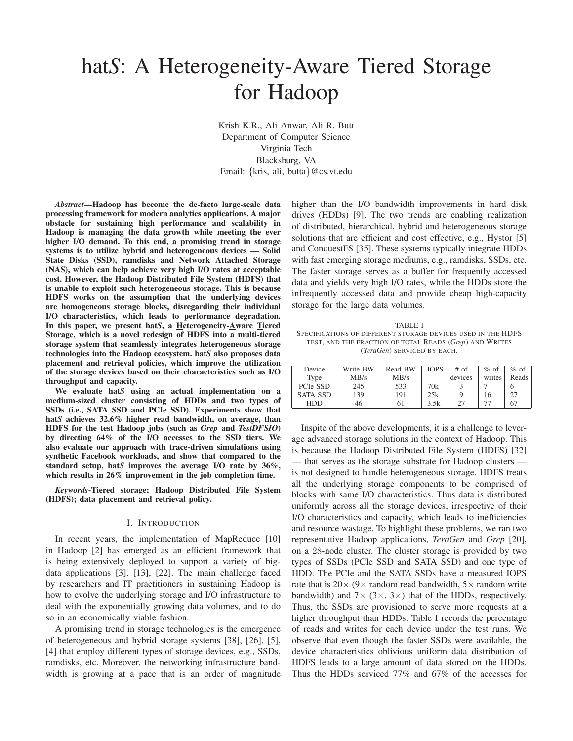# hat*S*: A Heterogeneity-Aware Tiered Storage for Hadoop

Krish K.R., Ali Anwar, Ali R. Butt Department of Computer Science Virginia Tech Blacksburg, VA Email: {kris, ali, butta}@cs.vt.edu

*Abstract***—Hadoop has become the de-facto large-scale data processing framework for modern analytics applications. A major obstacle for sustaining high performance and scalability in Hadoop is managing the data growth while meeting the ever higher I/O demand. To this end, a promising trend in storage systems is to utilize hybrid and heterogeneous devices — Solid State Disks (SSD), ramdisks and Network Attached Storage (NAS), which can help achieve very high I/O rates at acceptable cost. However, the Hadoop Distributed File System (HDFS) that is unable to exploit such heterogeneous storage. This is because HDFS works on the assumption that the underlying devices are homogeneous storage blocks, disregarding their individual I/O characteristics, which leads to performance degradation. In this paper, we present hat***S***, a Heterogeneity-Aware Tiered Storage, which is a novel redesign of HDFS into a multi-tiered storage system that seamlessly integrates heterogeneous storage technologies into the Hadoop ecosystem. hat***S* **also proposes data placement and retrieval policies, which improve the utilization of the storage devices based on their characteristics such as I/O throughput and capacity.**

**We evaluate hat***S* **using an actual implementation on a medium-sized cluster consisting of HDDs and two types of SSDs (i.e., SATA SSD and PCIe SSD). Experiments show that hat***S* **achieves 32.6% higher read bandwidth, on average, than HDFS for the test Hadoop jobs (such as** *Grep* **and** *TestDFSIO***) by directing 64% of the I/O accesses to the SSD tiers. We also evaluate our approach with trace-driven simulations using synthetic Facebook workloads, and show that compared to the standard setup, hat***S* **improves the average I/O rate by 36%, which results in 26% improvement in the job completion time.**

*Keywords***-Tiered storage; Hadoop Distributed File System (HDFS); data placement and retrieval policy.**

### I. INTRODUCTION

In recent years, the implementation of MapReduce [10] in Hadoop [2] has emerged as an efficient framework that is being extensively deployed to support a variety of bigdata applications [3], [13], [22]. The main challenge faced by researchers and IT practitioners in sustaining Hadoop is how to evolve the underlying storage and I/O infrastructure to deal with the exponentially growing data volumes, and to do so in an economically viable fashion.

A promising trend in storage technologies is the emergence of heterogeneous and hybrid storage systems [38], [26], [5], [4] that employ different types of storage devices, e.g., SSDs, ramdisks, etc. Moreover, the networking infrastructure bandwidth is growing at a pace that is an order of magnitude higher than the I/O bandwidth improvements in hard disk drives (HDDs) [9]. The two trends are enabling realization of distributed, hierarchical, hybrid and heterogeneous storage solutions that are efficient and cost effective, e.g., Hystor [5] and ConquestFS [35]. These systems typically integrate HDDs with fast emerging storage mediums, e.g., ramdisks, SSDs, etc. The faster storage serves as a buffer for frequently accessed data and yields very high I/O rates, while the HDDs store the infrequently accessed data and provide cheap high-capacity storage for the large data volumes.

TABLE I SPECIFICATIONS OF DIFFERENT STORAGE DEVICES USED IN THE HDFS TEST, AND THE FRACTION OF TOTAL READS (*Grep*) AND WRITES (*TeraGen*) SERVICED BY EACH.

| Device          | Write BW | Read BW | <b>IOPS</b> | $#$ of  | $%$ of | $%$ of |
|-----------------|----------|---------|-------------|---------|--------|--------|
| Type            | MB/s     | MB/s    |             | devices | writes | Reads  |
| PCIe SSD        | 245      | 533     | 70k         |         |        |        |
| <b>SATA SSD</b> | 139      | 191     | 25k         |         | 16     | 27     |
| HDD             | 46       | 61      | 3.5k        | 77      | 77     | 67     |

Inspite of the above developments, it is a challenge to leverage advanced storage solutions in the context of Hadoop. This is because the Hadoop Distributed File System (HDFS) [32] — that serves as the storage substrate for Hadoop clusters is not designed to handle heterogeneous storage. HDFS treats all the underlying storage components to be comprised of blocks with same I/O characteristics. Thus data is distributed uniformly across all the storage devices, irrespective of their I/O characteristics and capacity, which leads to inefficiencies and resource wastage. To highlight these problems, we ran two representative Hadoop applications, *TeraGen* and *Grep* [20], on a 28-node cluster. The cluster storage is provided by two types of SSDs (PCIe SSD and SATA SSD) and one type of HDD. The PCIe and the SATA SSDs have a measured IOPS rate that is  $20 \times (9 \times$  random read bandwidth,  $5 \times$  random write bandwidth) and  $7 \times (3 \times, 3 \times)$  that of the HDDs, respectively. Thus, the SSDs are provisioned to serve more requests at a higher throughput than HDDs. Table I records the percentage of reads and writes for each device under the test runs. We observe that even though the faster SSDs were available, the device characteristics oblivious uniform data distribution of HDFS leads to a large amount of data stored on the HDDs. Thus the HDDs serviced 77% and 67% of the accesses for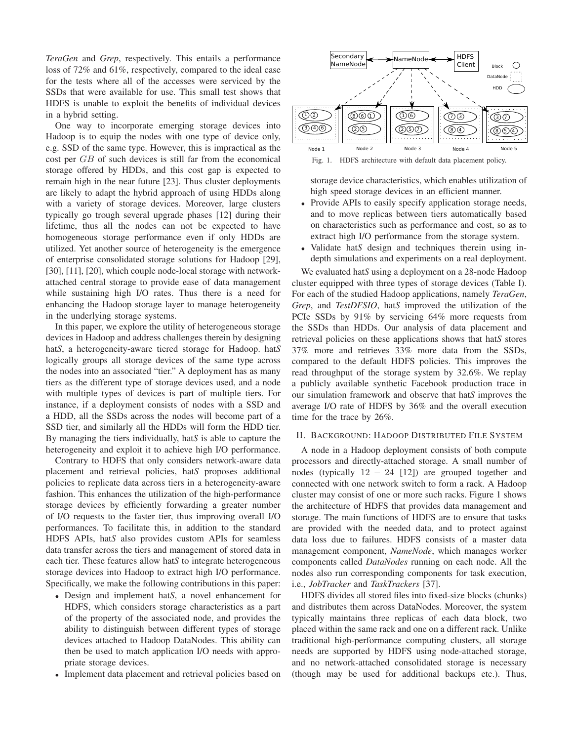*TeraGen* and *Grep*, respectively. This entails a performance loss of 72% and 61%, respectively, compared to the ideal case for the tests where all of the accesses were serviced by the SSDs that were available for use. This small test shows that HDFS is unable to exploit the benefits of individual devices in a hybrid setting.

One way to incorporate emerging storage devices into Hadoop is to equip the nodes with one type of device only, e.g. SSD of the same type. However, this is impractical as the cost per GB of such devices is still far from the economical storage offered by HDDs, and this cost gap is expected to remain high in the near future [23]. Thus cluster deployments are likely to adapt the hybrid approach of using HDDs along with a variety of storage devices. Moreover, large clusters typically go trough several upgrade phases [12] during their lifetime, thus all the nodes can not be expected to have homogeneous storage performance even if only HDDs are utilized. Yet another source of heterogeneity is the emergence of enterprise consolidated storage solutions for Hadoop [29], [30], [11], [20], which couple node-local storage with networkattached central storage to provide ease of data management while sustaining high I/O rates. Thus there is a need for enhancing the Hadoop storage layer to manage heterogeneity in the underlying storage systems.

In this paper, we explore the utility of heterogeneous storage devices in Hadoop and address challenges therein by designing hat*S*, a heterogeneity-aware tiered storage for Hadoop. hat*S* logically groups all storage devices of the same type across the nodes into an associated "tier." A deployment has as many tiers as the different type of storage devices used, and a node with multiple types of devices is part of multiple tiers. For instance, if a deployment consists of nodes with a SSD and a HDD, all the SSDs across the nodes will become part of a SSD tier, and similarly all the HDDs will form the HDD tier. By managing the tiers individually, hat*S* is able to capture the heterogeneity and exploit it to achieve high I/O performance.

Contrary to HDFS that only considers network-aware data placement and retrieval policies, hat*S* proposes additional policies to replicate data across tiers in a heterogeneity-aware fashion. This enhances the utilization of the high-performance storage devices by efficiently forwarding a greater number of I/O requests to the faster tier, thus improving overall I/O performances. To facilitate this, in addition to the standard HDFS APIs, hat*S* also provides custom APIs for seamless data transfer across the tiers and management of stored data in each tier. These features allow hat*S* to integrate heterogeneous storage devices into Hadoop to extract high I/O performance. Specifically, we make the following contributions in this paper:

- Design and implement hat*S*, a novel enhancement for HDFS, which considers storage characteristics as a part of the property of the associated node, and provides the ability to distinguish between different types of storage devices attached to Hadoop DataNodes. This ability can then be used to match application I/O needs with appropriate storage devices.
- Implement data placement and retrieval policies based on



Fig. 1. HDFS architecture with default data placement policy.

storage device characteristics, which enables utilization of high speed storage devices in an efficient manner.

- Provide APIs to easily specify application storage needs, and to move replicas between tiers automatically based on characteristics such as performance and cost, so as to extract high I/O performance from the storage system.
- Validate hat*S* design and techniques therein using indepth simulations and experiments on a real deployment.

We evaluated hat*S* using a deployment on a 28-node Hadoop cluster equipped with three types of storage devices (Table I). For each of the studied Hadoop applications, namely *TeraGen*, *Grep*, and *TestDFSIO*, hat*S* improved the utilization of the PCIe SSDs by 91% by servicing 64% more requests from the SSDs than HDDs. Our analysis of data placement and retrieval policies on these applications shows that hat*S* stores 37% more and retrieves 33% more data from the SSDs, compared to the default HDFS policies. This improves the read throughput of the storage system by 32.6%. We replay a publicly available synthetic Facebook production trace in our simulation framework and observe that hat*S* improves the average I/O rate of HDFS by 36% and the overall execution time for the trace by 26%.

# II. BACKGROUND: HADOOP DISTRIBUTED FILE SYSTEM

A node in a Hadoop deployment consists of both compute processors and directly-attached storage. A small number of nodes (typically 12 − 24 [12]) are grouped together and connected with one network switch to form a rack. A Hadoop cluster may consist of one or more such racks. Figure 1 shows the architecture of HDFS that provides data management and storage. The main functions of HDFS are to ensure that tasks are provided with the needed data, and to protect against data loss due to failures. HDFS consists of a master data management component, *NameNode*, which manages worker components called *DataNodes* running on each node. All the nodes also run corresponding components for task execution, i.e., *JobTracker* and *TaskTrackers* [37].

HDFS divides all stored files into fixed-size blocks (chunks) and distributes them across DataNodes. Moreover, the system typically maintains three replicas of each data block, two placed within the same rack and one on a different rack. Unlike traditional high-performance computing clusters, all storage needs are supported by HDFS using node-attached storage, and no network-attached consolidated storage is necessary (though may be used for additional backups etc.). Thus,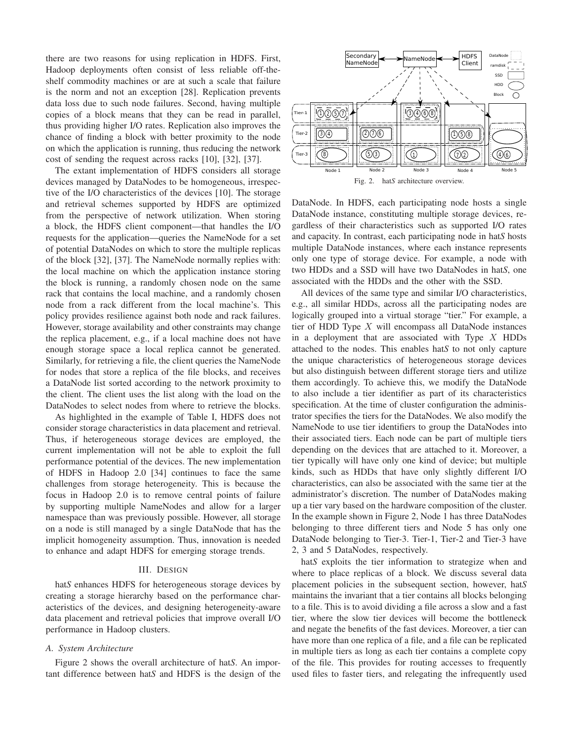there are two reasons for using replication in HDFS. First, Hadoop deployments often consist of less reliable off-theshelf commodity machines or are at such a scale that failure is the norm and not an exception [28]. Replication prevents data loss due to such node failures. Second, having multiple copies of a block means that they can be read in parallel, thus providing higher I/O rates. Replication also improves the chance of finding a block with better proximity to the node on which the application is running, thus reducing the network cost of sending the request across racks [10], [32], [37].

The extant implementation of HDFS considers all storage devices managed by DataNodes to be homogeneous, irrespective of the I/O characteristics of the devices [10]. The storage and retrieval schemes supported by HDFS are optimized from the perspective of network utilization. When storing a block, the HDFS client component—that handles the I/O requests for the application—queries the NameNode for a set of potential DataNodes on which to store the multiple replicas of the block [32], [37]. The NameNode normally replies with: the local machine on which the application instance storing the block is running, a randomly chosen node on the same rack that contains the local machine, and a randomly chosen node from a rack different from the local machine's. This policy provides resilience against both node and rack failures. However, storage availability and other constraints may change the replica placement, e.g., if a local machine does not have enough storage space a local replica cannot be generated. Similarly, for retrieving a file, the client queries the NameNode for nodes that store a replica of the file blocks, and receives a DataNode list sorted according to the network proximity to the client. The client uses the list along with the load on the DataNodes to select nodes from where to retrieve the blocks.

As highlighted in the example of Table I, HDFS does not consider storage characteristics in data placement and retrieval. Thus, if heterogeneous storage devices are employed, the current implementation will not be able to exploit the full performance potential of the devices. The new implementation of HDFS in Hadoop 2.0 [34] continues to face the same challenges from storage heterogeneity. This is because the focus in Hadoop 2.0 is to remove central points of failure by supporting multiple NameNodes and allow for a larger namespace than was previously possible. However, all storage on a node is still managed by a single DataNode that has the implicit homogeneity assumption. Thus, innovation is needed to enhance and adapt HDFS for emerging storage trends.

#### III. DESIGN

hat*S* enhances HDFS for heterogeneous storage devices by creating a storage hierarchy based on the performance characteristics of the devices, and designing heterogeneity-aware data placement and retrieval policies that improve overall I/O performance in Hadoop clusters.

#### *A. System Architecture*

Figure 2 shows the overall architecture of hat*S*. An important difference between hat*S* and HDFS is the design of the



DataNode. In HDFS, each participating node hosts a single DataNode instance, constituting multiple storage devices, regardless of their characteristics such as supported I/O rates and capacity. In contrast, each participating node in hat*S* hosts multiple DataNode instances, where each instance represents only one type of storage device. For example, a node with two HDDs and a SSD will have two DataNodes in hat*S*, one associated with the HDDs and the other with the SSD.

All devices of the same type and similar I/O characteristics, e.g., all similar HDDs, across all the participating nodes are logically grouped into a virtual storage "tier." For example, a tier of HDD Type  $X$  will encompass all DataNode instances in a deployment that are associated with Type  $X$  HDDs attached to the nodes. This enables hat*S* to not only capture the unique characteristics of heterogeneous storage devices but also distinguish between different storage tiers and utilize them accordingly. To achieve this, we modify the DataNode to also include a tier identifier as part of its characteristics specification. At the time of cluster configuration the administrator specifies the tiers for the DataNodes. We also modify the NameNode to use tier identifiers to group the DataNodes into their associated tiers. Each node can be part of multiple tiers depending on the devices that are attached to it. Moreover, a tier typically will have only one kind of device; but multiple kinds, such as HDDs that have only slightly different I/O characteristics, can also be associated with the same tier at the administrator's discretion. The number of DataNodes making up a tier vary based on the hardware composition of the cluster. In the example shown in Figure 2, Node 1 has three DataNodes belonging to three different tiers and Node 5 has only one DataNode belonging to Tier-3. Tier-1, Tier-2 and Tier-3 have 2, 3 and 5 DataNodes, respectively.

hat*S* exploits the tier information to strategize when and where to place replicas of a block. We discuss several data placement policies in the subsequent section, however, hat*S* maintains the invariant that a tier contains all blocks belonging to a file. This is to avoid dividing a file across a slow and a fast tier, where the slow tier devices will become the bottleneck and negate the benefits of the fast devices. Moreover, a tier can have more than one replica of a file, and a file can be replicated in multiple tiers as long as each tier contains a complete copy of the file. This provides for routing accesses to frequently used files to faster tiers, and relegating the infrequently used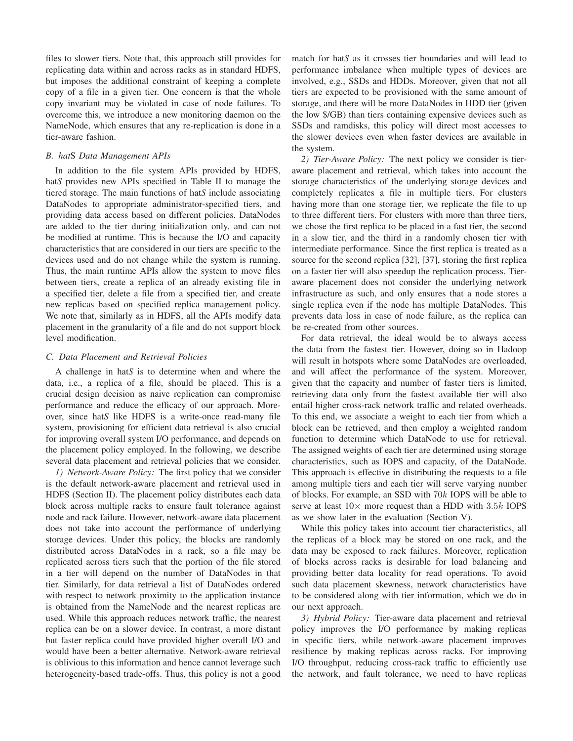files to slower tiers. Note that, this approach still provides for replicating data within and across racks as in standard HDFS, but imposes the additional constraint of keeping a complete copy of a file in a given tier. One concern is that the whole copy invariant may be violated in case of node failures. To overcome this, we introduce a new monitoring daemon on the NameNode, which ensures that any re-replication is done in a tier-aware fashion.

# *B. hat*S *Data Management APIs*

In addition to the file system APIs provided by HDFS, hat*S* provides new APIs specified in Table II to manage the tiered storage. The main functions of hat*S* include associating DataNodes to appropriate administrator-specified tiers, and providing data access based on different policies. DataNodes are added to the tier during initialization only, and can not be modified at runtime. This is because the I/O and capacity characteristics that are considered in our tiers are specific to the devices used and do not change while the system is running. Thus, the main runtime APIs allow the system to move files between tiers, create a replica of an already existing file in a specified tier, delete a file from a specified tier, and create new replicas based on specified replica management policy. We note that, similarly as in HDFS, all the APIs modify data placement in the granularity of a file and do not support block level modification.

#### *C. Data Placement and Retrieval Policies*

A challenge in hat*S* is to determine when and where the data, i.e., a replica of a file, should be placed. This is a crucial design decision as naive replication can compromise performance and reduce the efficacy of our approach. Moreover, since hat*S* like HDFS is a write-once read-many file system, provisioning for efficient data retrieval is also crucial for improving overall system I/O performance, and depends on the placement policy employed. In the following, we describe several data placement and retrieval policies that we consider.

*1) Network-Aware Policy:* The first policy that we consider is the default network-aware placement and retrieval used in HDFS (Section II). The placement policy distributes each data block across multiple racks to ensure fault tolerance against node and rack failure. However, network-aware data placement does not take into account the performance of underlying storage devices. Under this policy, the blocks are randomly distributed across DataNodes in a rack, so a file may be replicated across tiers such that the portion of the file stored in a tier will depend on the number of DataNodes in that tier. Similarly, for data retrieval a list of DataNodes ordered with respect to network proximity to the application instance is obtained from the NameNode and the nearest replicas are used. While this approach reduces network traffic, the nearest replica can be on a slower device. In contrast, a more distant but faster replica could have provided higher overall I/O and would have been a better alternative. Network-aware retrieval is oblivious to this information and hence cannot leverage such heterogeneity-based trade-offs. Thus, this policy is not a good match for hat*S* as it crosses tier boundaries and will lead to performance imbalance when multiple types of devices are involved, e.g., SSDs and HDDs. Moreover, given that not all tiers are expected to be provisioned with the same amount of storage, and there will be more DataNodes in HDD tier (given the low \$/GB) than tiers containing expensive devices such as SSDs and ramdisks, this policy will direct most accesses to the slower devices even when faster devices are available in the system.

*2) Tier-Aware Policy:* The next policy we consider is tieraware placement and retrieval, which takes into account the storage characteristics of the underlying storage devices and completely replicates a file in multiple tiers. For clusters having more than one storage tier, we replicate the file to up to three different tiers. For clusters with more than three tiers, we chose the first replica to be placed in a fast tier, the second in a slow tier, and the third in a randomly chosen tier with intermediate performance. Since the first replica is treated as a source for the second replica [32], [37], storing the first replica on a faster tier will also speedup the replication process. Tieraware placement does not consider the underlying network infrastructure as such, and only ensures that a node stores a single replica even if the node has multiple DataNodes. This prevents data loss in case of node failure, as the replica can be re-created from other sources.

For data retrieval, the ideal would be to always access the data from the fastest tier. However, doing so in Hadoop will result in hotspots where some DataNodes are overloaded, and will affect the performance of the system. Moreover, given that the capacity and number of faster tiers is limited, retrieving data only from the fastest available tier will also entail higher cross-rack network traffic and related overheads. To this end, we associate a weight to each tier from which a block can be retrieved, and then employ a weighted random function to determine which DataNode to use for retrieval. The assigned weights of each tier are determined using storage characteristics, such as IOPS and capacity, of the DataNode. This approach is effective in distributing the requests to a file among multiple tiers and each tier will serve varying number of blocks. For example, an SSD with 70k IOPS will be able to serve at least  $10\times$  more request than a HDD with 3.5k IOPS as we show later in the evaluation (Section V).

While this policy takes into account tier characteristics, all the replicas of a block may be stored on one rack, and the data may be exposed to rack failures. Moreover, replication of blocks across racks is desirable for load balancing and providing better data locality for read operations. To avoid such data placement skewness, network characteristics have to be considered along with tier information, which we do in our next approach.

*3) Hybrid Policy:* Tier-aware data placement and retrieval policy improves the I/O performance by making replicas in specific tiers, while network-aware placement improves resilience by making replicas across racks. For improving I/O throughput, reducing cross-rack traffic to efficiently use the network, and fault tolerance, we need to have replicas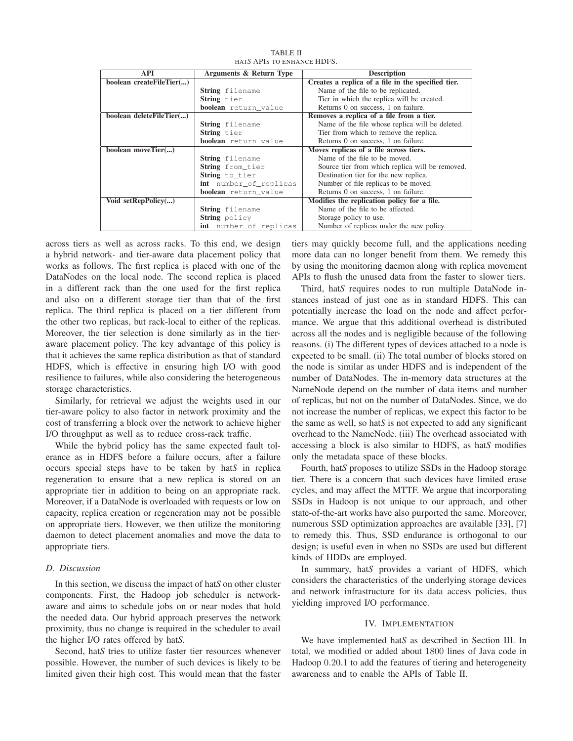| <b>API</b>               | Arguments & Return Type     | <b>Description</b>                                 |  |  |
|--------------------------|-----------------------------|----------------------------------------------------|--|--|
| boolean createFileTier() |                             | Creates a replica of a file in the specified tier. |  |  |
|                          | String filename             | Name of the file to be replicated.                 |  |  |
|                          | String tier                 | Tier in which the replica will be created.         |  |  |
|                          | <b>boolean</b> return value | Returns 0 on success, 1 on failure.                |  |  |
| boolean deleteFileTier() |                             | Removes a replica of a file from a tier.           |  |  |
|                          | String filename             | Name of the file whose replica will be deleted.    |  |  |
|                          | String tier                 | Tier from which to remove the replica.             |  |  |
|                          | boolean return_value        | Returns 0 on success, 1 on failure.                |  |  |
| boolean moveTier()       |                             | Moves replicas of a file across tiers.             |  |  |
|                          | String filename             | Name of the file to be moved.                      |  |  |
|                          | String from tier            | Source tier from which replica will be removed.    |  |  |
|                          | String to_tier              | Destination tier for the new replica.              |  |  |
|                          | int number_of_replicas      | Number of file replicas to be moved.               |  |  |
|                          | boolean return_value        | Returns 0 on success, 1 on failure.                |  |  |
| Void $setRepPolicy()$    |                             | Modifies the replication policy for a file.        |  |  |
|                          | String filename             | Name of the file to be affected.                   |  |  |
|                          | String policy               | Storage policy to use.                             |  |  |
|                          | int number_of_replicas      | Number of replicas under the new policy.           |  |  |

TABLE II HAT*S* APIS TO ENHANCE HDFS.

across tiers as well as across racks. To this end, we design a hybrid network- and tier-aware data placement policy that works as follows. The first replica is placed with one of the DataNodes on the local node. The second replica is placed in a different rack than the one used for the first replica and also on a different storage tier than that of the first replica. The third replica is placed on a tier different from the other two replicas, but rack-local to either of the replicas. Moreover, the tier selection is done similarly as in the tieraware placement policy. The key advantage of this policy is that it achieves the same replica distribution as that of standard HDFS, which is effective in ensuring high I/O with good resilience to failures, while also considering the heterogeneous storage characteristics.

Similarly, for retrieval we adjust the weights used in our tier-aware policy to also factor in network proximity and the cost of transferring a block over the network to achieve higher I/O throughput as well as to reduce cross-rack traffic.

While the hybrid policy has the same expected fault tolerance as in HDFS before a failure occurs, after a failure occurs special steps have to be taken by hat*S* in replica regeneration to ensure that a new replica is stored on an appropriate tier in addition to being on an appropriate rack. Moreover, if a DataNode is overloaded with requests or low on capacity, replica creation or regeneration may not be possible on appropriate tiers. However, we then utilize the monitoring daemon to detect placement anomalies and move the data to appropriate tiers.

### *D. Discussion*

In this section, we discuss the impact of hat*S* on other cluster components. First, the Hadoop job scheduler is networkaware and aims to schedule jobs on or near nodes that hold the needed data. Our hybrid approach preserves the network proximity, thus no change is required in the scheduler to avail the higher I/O rates offered by hat*S*.

Second, hat*S* tries to utilize faster tier resources whenever possible. However, the number of such devices is likely to be limited given their high cost. This would mean that the faster tiers may quickly become full, and the applications needing more data can no longer benefit from them. We remedy this by using the monitoring daemon along with replica movement APIs to flush the unused data from the faster to slower tiers.

Third, hat*S* requires nodes to run multiple DataNode instances instead of just one as in standard HDFS. This can potentially increase the load on the node and affect performance. We argue that this additional overhead is distributed across all the nodes and is negligible because of the following reasons. (i) The different types of devices attached to a node is expected to be small. (ii) The total number of blocks stored on the node is similar as under HDFS and is independent of the number of DataNodes. The in-memory data structures at the NameNode depend on the number of data items and number of replicas, but not on the number of DataNodes. Since, we do not increase the number of replicas, we expect this factor to be the same as well, so hat*S* is not expected to add any significant overhead to the NameNode. (iii) The overhead associated with accessing a block is also similar to HDFS, as hat*S* modifies only the metadata space of these blocks.

Fourth, hat*S* proposes to utilize SSDs in the Hadoop storage tier. There is a concern that such devices have limited erase cycles, and may affect the MTTF. We argue that incorporating SSDs in Hadoop is not unique to our approach, and other state-of-the-art works have also purported the same. Moreover, numerous SSD optimization approaches are available [33], [7] to remedy this. Thus, SSD endurance is orthogonal to our design; is useful even in when no SSDs are used but different kinds of HDDs are employed.

In summary, hat*S* provides a variant of HDFS, which considers the characteristics of the underlying storage devices and network infrastructure for its data access policies, thus yielding improved I/O performance.

#### IV. IMPLEMENTATION

We have implemented hat*S* as described in Section III. In total, we modified or added about 1800 lines of Java code in Hadoop 0.20.1 to add the features of tiering and heterogeneity awareness and to enable the APIs of Table II.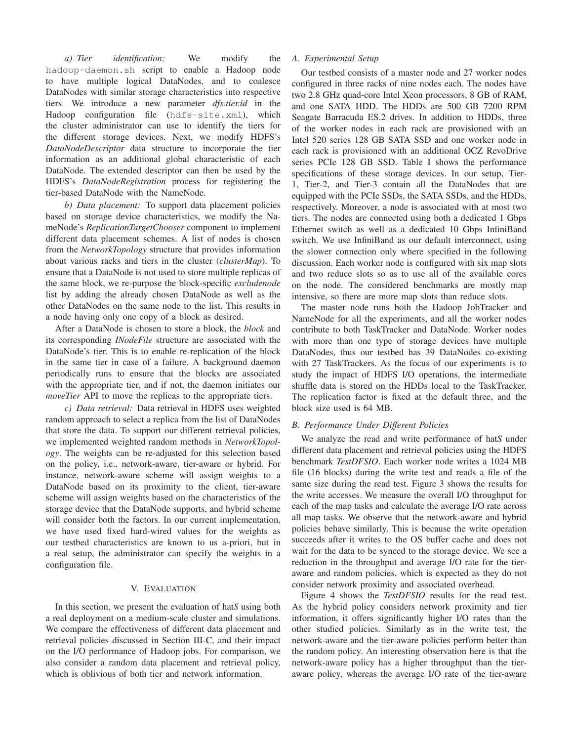*a) Tier identification:* We modify the hadoop-daemon.sh script to enable a Hadoop node to have multiple logical DataNodes, and to coalesce DataNodes with similar storage characteristics into respective tiers. We introduce a new parameter *dfs.tier.id* in the Hadoop configuration file (hdfs-site.xml), which the cluster administrator can use to identify the tiers for the different storage devices. Next, we modify HDFS's *DataNodeDescriptor* data structure to incorporate the tier information as an additional global characteristic of each DataNode. The extended descriptor can then be used by the HDFS's *DataNodeRegistration* process for registering the tier-based DataNode with the NameNode.

*b) Data placement:* To support data placement policies based on storage device characteristics, we modify the NameNode's *ReplicationTargetChooser* component to implement different data placement schemes. A list of nodes is chosen from the *NetworkTopology* structure that provides information about various racks and tiers in the cluster (*clusterMap*). To ensure that a DataNode is not used to store multiple replicas of the same block, we re-purpose the block-specific *excludenode* list by adding the already chosen DataNode as well as the other DataNodes on the same node to the list. This results in a node having only one copy of a block as desired.

After a DataNode is chosen to store a block, the *block* and its corresponding *INodeFile* structure are associated with the DataNode's tier. This is to enable re-replication of the block in the same tier in case of a failure. A background daemon periodically runs to ensure that the blocks are associated with the appropriate tier, and if not, the daemon initiates our *moveTier* API to move the replicas to the appropriate tiers.

*c) Data retrieval:* Data retrieval in HDFS uses weighted random approach to select a replica from the list of DataNodes that store the data. To support our different retrieval policies, we implemented weighted random methods in *NetworkTopology*. The weights can be re-adjusted for this selection based on the policy, i.e., network-aware, tier-aware or hybrid. For instance, network-aware scheme will assign weights to a DataNode based on its proximity to the client, tier-aware scheme will assign weights based on the characteristics of the storage device that the DataNode supports, and hybrid scheme will consider both the factors. In our current implementation, we have used fixed hard-wired values for the weights as our testbed characteristics are known to us a-priori, but in a real setup, the administrator can specify the weights in a configuration file.

# V. EVALUATION

In this section, we present the evaluation of hat*S* using both a real deployment on a medium-scale cluster and simulations. We compare the effectiveness of different data placement and retrieval policies discussed in Section III-C, and their impact on the I/O performance of Hadoop jobs. For comparison, we also consider a random data placement and retrieval policy, which is oblivious of both tier and network information.

#### *A. Experimental Setup*

Our testbed consists of a master node and 27 worker nodes configured in three racks of nine nodes each. The nodes have two 2.8 GHz quad-core Intel Xeon processors, 8 GB of RAM, and one SATA HDD. The HDDs are 500 GB 7200 RPM Seagate Barracuda ES.2 drives. In addition to HDDs, three of the worker nodes in each rack are provisioned with an Intel 520 series 128 GB SATA SSD and one worker node in each rack is provisioned with an additional OCZ RevoDrive series PCIe 128 GB SSD. Table I shows the performance specifications of these storage devices. In our setup, Tier-1, Tier-2, and Tier-3 contain all the DataNodes that are equipped with the PCIe SSDs, the SATA SSDs, and the HDDs, respectively. Moreover, a node is associated with at most two tiers. The nodes are connected using both a dedicated 1 Gbps Ethernet switch as well as a dedicated 10 Gbps InfiniBand switch. We use InfiniBand as our default interconnect, using the slower connection only where specified in the following discussion. Each worker node is configured with six map slots and two reduce slots so as to use all of the available cores on the node. The considered benchmarks are mostly map intensive, so there are more map slots than reduce slots.

The master node runs both the Hadoop JobTracker and NameNode for all the experiments, and all the worker nodes contribute to both TaskTracker and DataNode. Worker nodes with more than one type of storage devices have multiple DataNodes, thus our testbed has 39 DataNodes co-existing with 27 TaskTrackers. As the focus of our experiments is to study the impact of HDFS I/O operations, the intermediate shuffle data is stored on the HDDs local to the TaskTracker. The replication factor is fixed at the default three, and the block size used is 64 MB.

#### *B. Performance Under Different Policies*

We analyze the read and write performance of hat*S* under different data placement and retrieval policies using the HDFS benchmark *TestDFSIO*. Each worker node writes a 1024 MB file (16 blocks) during the write test and reads a file of the same size during the read test. Figure 3 shows the results for the write accesses. We measure the overall I/O throughput for each of the map tasks and calculate the average I/O rate across all map tasks. We observe that the network-aware and hybrid policies behave similarly. This is because the write operation succeeds after it writes to the OS buffer cache and does not wait for the data to be synced to the storage device. We see a reduction in the throughput and average I/O rate for the tieraware and random policies, which is expected as they do not consider network proximity and associated overhead.

Figure 4 shows the *TestDFSIO* results for the read test. As the hybrid policy considers network proximity and tier information, it offers significantly higher I/O rates than the other studied policies. Similarly as in the write test, the network-aware and the tier-aware policies perform better than the random policy. An interesting observation here is that the network-aware policy has a higher throughput than the tieraware policy, whereas the average I/O rate of the tier-aware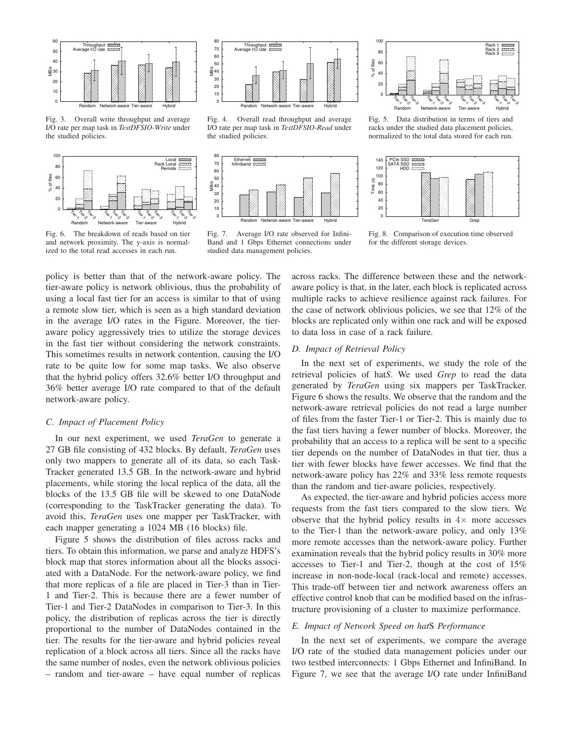

Fig. 3. Overall write throughput and average I/O rate per map task in *TestDFSIO-Write* under the studied policies.



 80 œxx Throughput Average I/O rate 70 60 50 %<br>≌40<br>∑ .<br>30 20 10 0 Random Network-aware Tier-aware Hybrid

Fig. 4. Overall read throughput and average I/O rate per map task in *TestDFSIO-Read* under the studied policies.



Fig. 7. Average I/O rate observed for Infini-Band and 1 Gbps Ethernet connections under studied data management policies.



Fig. 5. Data distribution in terms of tiers and racks under the studied data placement policies, normalized to the total data stored for each run.



Fig. 8. Comparison of execution time observed for the different storage devices.

and network proximity. The y-axis is normalized to the total read accesses in each run.

Fig. 6. The breakdown of reads based on tier

policy is better than that of the network-aware policy. The tier-aware policy is network oblivious, thus the probability of using a local fast tier for an access is similar to that of using a remote slow tier, which is seen as a high standard deviation in the average I/O rates in the Figure. Moreover, the tieraware policy aggressively tries to utilize the storage devices in the fast tier without considering the network constraints. This sometimes results in network contention, causing the I/O rate to be quite low for some map tasks. We also observe that the hybrid policy offers 32.6% better I/O throughput and 36% better average I/O rate compared to that of the default network-aware policy.

#### *C. Impact of Placement Policy*

In our next experiment, we used *TeraGen* to generate a 27 GB file consisting of 432 blocks. By default, *TeraGen* uses only two mappers to generate all of its data, so each Task-Tracker generated 13.5 GB. In the network-aware and hybrid placements, while storing the local replica of the data, all the blocks of the 13.5 GB file will be skewed to one DataNode (corresponding to the TaskTracker generating the data). To avoid this, *TeraGen* uses one mapper per TaskTracker, with each mapper generating a 1024 MB (16 blocks) file.

Figure 5 shows the distribution of files across racks and tiers. To obtain this information, we parse and analyze HDFS's block map that stores information about all the blocks associated with a DataNode. For the network-aware policy, we find that more replicas of a file are placed in Tier-3 than in Tier-1 and Tier-2. This is because there are a fewer number of Tier-1 and Tier-2 DataNodes in comparison to Tier-3. In this policy, the distribution of replicas across the tier is directly proportional to the number of DataNodes contained in the tier. The results for the tier-aware and hybrid policies reveal replication of a block across all tiers. Since all the racks have the same number of nodes, even the network oblivious policies – random and tier-aware – have equal number of replicas

across racks. The difference between these and the networkaware policy is that, in the later, each block is replicated across multiple racks to achieve resilience against rack failures. For the case of network oblivious policies, we see that 12% of the blocks are replicated only within one rack and will be exposed to data loss in case of a rack failure.

#### *D. Impact of Retrieval Policy*

In the next set of experiments, we study the role of the retrieval policies of hat*S*. We used *Grep* to read the data generated by *TeraGen* using six mappers per TaskTracker. Figure 6 shows the results. We observe that the random and the network-aware retrieval policies do not read a large number of files from the faster Tier-1 or Tier-2. This is mainly due to the fast tiers having a fewer number of blocks. Moreover, the probability that an access to a replica will be sent to a specific tier depends on the number of DataNodes in that tier, thus a tier with fewer blocks have fewer accesses. We find that the network-aware policy has 22% and 33% less remote requests than the random and tier-aware policies, respectively.

As expected, the tier-aware and hybrid policies access more requests from the fast tiers compared to the slow tiers. We observe that the hybrid policy results in  $4\times$  more accesses to the Tier-1 than the network-aware policy, and only 13% more remote accesses than the network-aware policy. Further examination reveals that the hybrid policy results in 30% more accesses to Tier-1 and Tier-2, though at the cost of 15% increase in non-node-local (rack-local and remote) accesses. This trade-off between tier and network awareness offers an effective control knob that can be modified based on the infrastructure provisioning of a cluster to maximize performance.

# *E. Impact of Network Speed on hat*S *Performance*

In the next set of experiments, we compare the average I/O rate of the studied data management policies under our two testbed interconnects: 1 Gbps Ethernet and InfiniBand. In Figure 7, we see that the average I/O rate under InfiniBand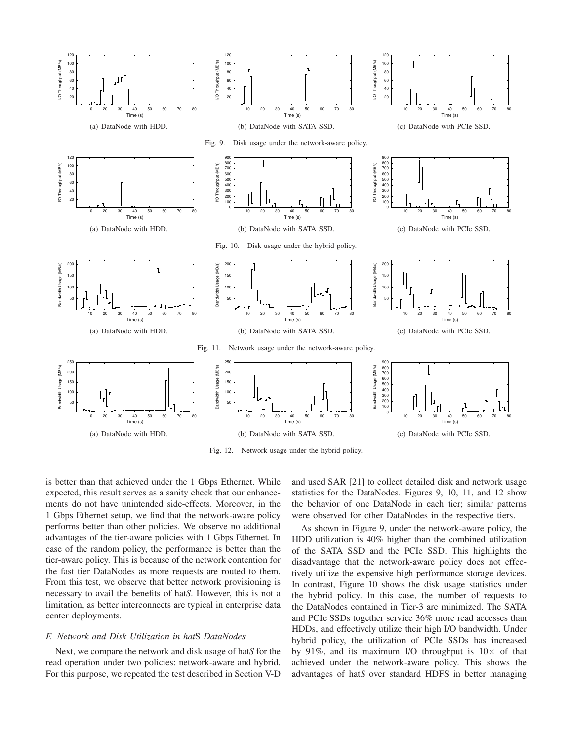

Fig. 12. Network usage under the hybrid policy.

is better than that achieved under the 1 Gbps Ethernet. While expected, this result serves as a sanity check that our enhancements do not have unintended side-effects. Moreover, in the 1 Gbps Ethernet setup, we find that the network-aware policy performs better than other policies. We observe no additional advantages of the tier-aware policies with 1 Gbps Ethernet. In case of the random policy, the performance is better than the tier-aware policy. This is because of the network contention for the fast tier DataNodes as more requests are routed to them. From this test, we observe that better network provisioning is necessary to avail the benefits of hat*S*. However, this is not a limitation, as better interconnects are typical in enterprise data center deployments.

#### *F. Network and Disk Utilization in hat*S *DataNodes*

Next, we compare the network and disk usage of hat*S* for the read operation under two policies: network-aware and hybrid. For this purpose, we repeated the test described in Section V-D and used SAR [21] to collect detailed disk and network usage statistics for the DataNodes. Figures 9, 10, 11, and 12 show the behavior of one DataNode in each tier; similar patterns were observed for other DataNodes in the respective tiers.

As shown in Figure 9, under the network-aware policy, the HDD utilization is 40% higher than the combined utilization of the SATA SSD and the PCIe SSD. This highlights the disadvantage that the network-aware policy does not effectively utilize the expensive high performance storage devices. In contrast, Figure 10 shows the disk usage statistics under the hybrid policy. In this case, the number of requests to the DataNodes contained in Tier-3 are minimized. The SATA and PCIe SSDs together service 36% more read accesses than HDDs, and effectively utilize their high I/O bandwidth. Under hybrid policy, the utilization of PCIe SSDs has increased by 91%, and its maximum I/O throughput is  $10\times$  of that achieved under the network-aware policy. This shows the advantages of hat*S* over standard HDFS in better managing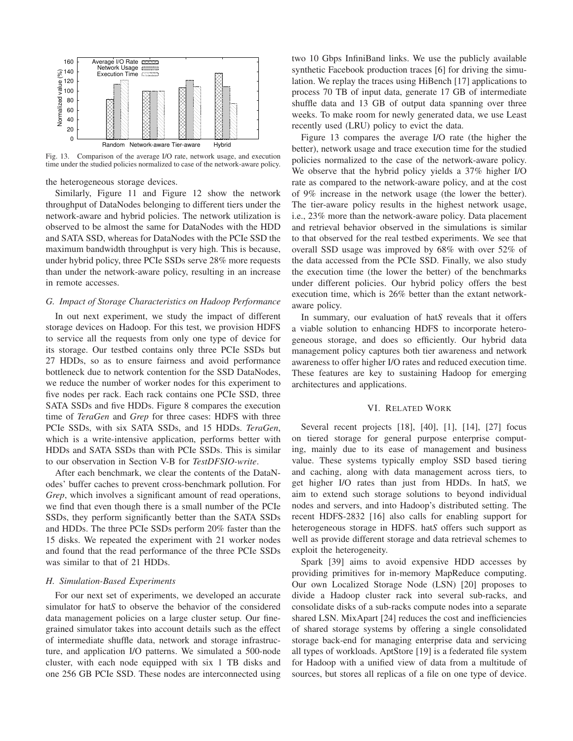

Fig. 13. Comparison of the average I/O rate, network usage, and execution time under the studied policies normalized to case of the network-aware policy.

the heterogeneous storage devices.

Similarly, Figure 11 and Figure 12 show the network throughput of DataNodes belonging to different tiers under the network-aware and hybrid policies. The network utilization is observed to be almost the same for DataNodes with the HDD and SATA SSD, whereas for DataNodes with the PCIe SSD the maximum bandwidth throughput is very high. This is because, under hybrid policy, three PCIe SSDs serve 28% more requests than under the network-aware policy, resulting in an increase in remote accesses.

#### *G. Impact of Storage Characteristics on Hadoop Performance*

In out next experiment, we study the impact of different storage devices on Hadoop. For this test, we provision HDFS to service all the requests from only one type of device for its storage. Our testbed contains only three PCIe SSDs but 27 HDDs, so as to ensure fairness and avoid performance bottleneck due to network contention for the SSD DataNodes, we reduce the number of worker nodes for this experiment to five nodes per rack. Each rack contains one PCIe SSD, three SATA SSDs and five HDDs. Figure 8 compares the execution time of *TeraGen* and *Grep* for three cases: HDFS with three PCIe SSDs, with six SATA SSDs, and 15 HDDs. *TeraGen*, which is a write-intensive application, performs better with HDDs and SATA SSDs than with PCIe SSDs. This is similar to our observation in Section V-B for *TestDFSIO-write*.

After each benchmark, we clear the contents of the DataNodes' buffer caches to prevent cross-benchmark pollution. For *Grep*, which involves a significant amount of read operations, we find that even though there is a small number of the PCIe SSDs, they perform significantly better than the SATA SSDs and HDDs. The three PCIe SSDs perform 20% faster than the 15 disks. We repeated the experiment with 21 worker nodes and found that the read performance of the three PCIe SSDs was similar to that of 21 HDDs.

### *H. Simulation-Based Experiments*

For our next set of experiments, we developed an accurate simulator for hat*S* to observe the behavior of the considered data management policies on a large cluster setup. Our finegrained simulator takes into account details such as the effect of intermediate shuffle data, network and storage infrastructure, and application I/O patterns. We simulated a 500-node cluster, with each node equipped with six 1 TB disks and one 256 GB PCIe SSD. These nodes are interconnected using two 10 Gbps InfiniBand links. We use the publicly available synthetic Facebook production traces [6] for driving the simulation. We replay the traces using HiBench [17] applications to process 70 TB of input data, generate 17 GB of intermediate shuffle data and 13 GB of output data spanning over three weeks. To make room for newly generated data, we use Least recently used (LRU) policy to evict the data.

Figure 13 compares the average I/O rate (the higher the better), network usage and trace execution time for the studied policies normalized to the case of the network-aware policy. We observe that the hybrid policy yields a 37% higher I/O rate as compared to the network-aware policy, and at the cost of 9% increase in the network usage (the lower the better). The tier-aware policy results in the highest network usage, i.e., 23% more than the network-aware policy. Data placement and retrieval behavior observed in the simulations is similar to that observed for the real testbed experiments. We see that overall SSD usage was improved by 68% with over 52% of the data accessed from the PCIe SSD. Finally, we also study the execution time (the lower the better) of the benchmarks under different policies. Our hybrid policy offers the best execution time, which is 26% better than the extant networkaware policy.

In summary, our evaluation of hat*S* reveals that it offers a viable solution to enhancing HDFS to incorporate heterogeneous storage, and does so efficiently. Our hybrid data management policy captures both tier awareness and network awareness to offer higher I/O rates and reduced execution time. These features are key to sustaining Hadoop for emerging architectures and applications.

#### VI. RELATED WORK

Several recent projects [18], [40], [1], [14], [27] focus on tiered storage for general purpose enterprise computing, mainly due to its ease of management and business value. These systems typically employ SSD based tiering and caching, along with data management across tiers, to get higher I/O rates than just from HDDs. In hat*S*, we aim to extend such storage solutions to beyond individual nodes and servers, and into Hadoop's distributed setting. The recent HDFS-2832 [16] also calls for enabling support for heterogeneous storage in HDFS. hat*S* offers such support as well as provide different storage and data retrieval schemes to exploit the heterogeneity.

Spark [39] aims to avoid expensive HDD accesses by providing primitives for in-memory MapReduce computing. Our own Localized Storage Node (LSN) [20] proposes to divide a Hadoop cluster rack into several sub-racks, and consolidate disks of a sub-racks compute nodes into a separate shared LSN. MixApart [24] reduces the cost and inefficiencies of shared storage systems by offering a single consolidated storage back-end for managing enterprise data and servicing all types of workloads. AptStore [19] is a federated file system for Hadoop with a unified view of data from a multitude of sources, but stores all replicas of a file on one type of device.